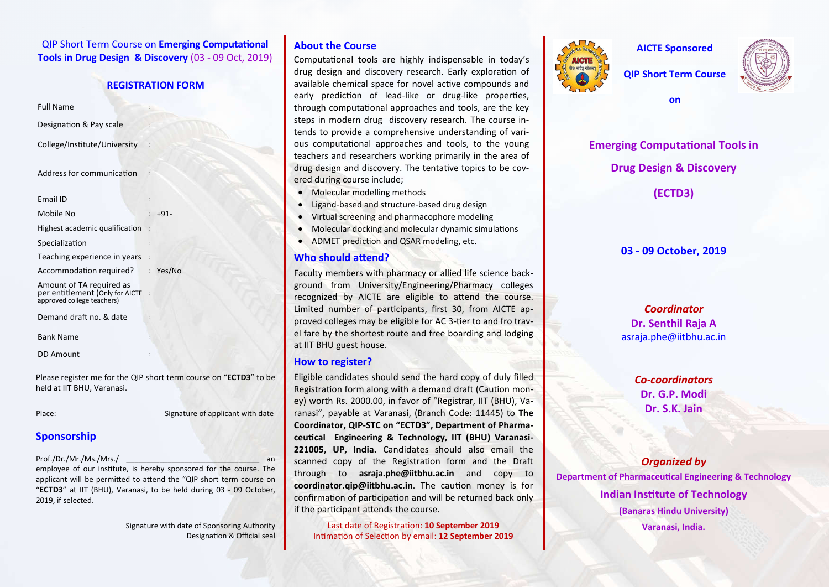**QIP Short Term Course on Emerging Computational Tools in Drug Design & Discovery** (03 - 09 Oct, 2019)

#### **REGISTRATION FORM**

Full Name :

Designation & Pay scale

College/Institute/University :

Address for communication :

Email ID : Mobile No : +91- Highest academic qualification  $\therefore$ Specialization Teaching experience in years : Accommodation required? : Yes/No Amount of TA required as per entitlement (Only for AICTE approved college teachers) Demand draft no. & date Bank Name :

Please register me for the QIP short term course on "**ECTD3**" to be held at IIT BHU, Varanasi.

Place: Signature of applicant with date

# **Sponsorship**

DD Amount

Prof./Dr./Mr./Ms./Mrs./

employee of our institute, is hereby sponsored for the course. The applicant will be permitted to attend the "QIP short term course on "**ECTD3**" at IIT (BHU), Varanasi, to be held during 03 - 09 October, 2019, if selected.

> Signature with date of Sponsoring Authority Designation & Official seal

# **About the Course**

Computational tools are highly indispensable in today's drug design and discovery research. Early exploration of available chemical space for novel active compounds and early prediction of lead-like or drug-like properties, through computational approaches and tools, are the key steps in modern drug discovery research. The course intends to provide a comprehensive understanding of various computational approaches and tools, to the young teachers and researchers working primarily in the area of drug design and discovery. The tentative topics to be covered during course include;

- Molecular modelling methods
- Ligand-based and structure-based drug design
- Virtual screening and pharmacophore modeling
- Molecular docking and molecular dynamic simulations
- ADMET prediction and QSAR modeling, etc.

# **Who should attend?**

Faculty members with pharmacy or allied life science background from University/Engineering/Pharmacy colleges recognized by AICTE are eligible to attend the course. Limited number of participants, first 30, from AICTE approved colleges may be eligible for AC 3-tier to and fro travel fare by the shortest route and free boarding and lodging at IIT BHU guest house.

# **How to register?**

Eligible candidates should send the hard copy of duly filled Registration form along with a demand draft (Caution money) worth Rs. 2000.00, in favor of "Registrar, IIT (BHU), Varanasi", payable at Varanasi, (Branch Code: 11445) to **The Coordinator, QIP-STC on "ECTD3", Department of Pharma**ceutical Engineering & Technology, IIT (BHU) Varanasi-**221005, UP, India.** Candidates should also email the scanned copy of the Registration form and the Draft through to **asraja.phe@iitbhu.ac.in** and copy to **coordinator.qip@iitbhu.ac.in**. The caution money is for confirmation of participation and will be returned back only if the participant attends the course.

Last date of Registration: 10 September 2019 Intimation of Selection by email: 12 September 2019



**AICTE Sponsored** 

**QIP Short Term Course** 

**on** 



**Emerging Computational Tools in Drug Design & Discovery**

**(ECTD3)**

# **03 - 09 October, 2019**

*Coordinator* **Dr. Senthil Raja A** asraja.phe@iitbhu.ac.in

> *Co-coordinators* **Dr. G.P. Modi Dr. S.K. Jain**

*Organized by* **Department of Pharmaceutical Engineering & Technology Indian Institute of Technology (Banaras Hindu University) Varanasi, India.**